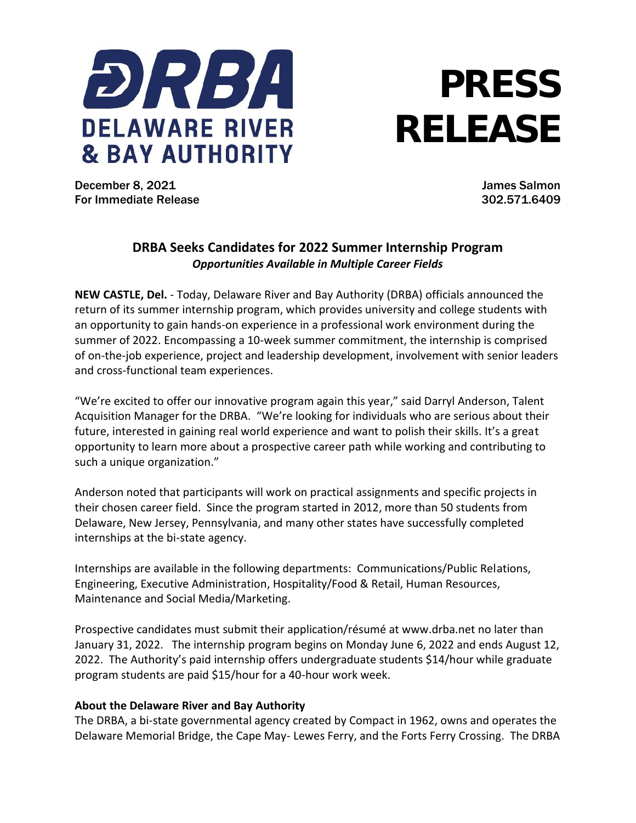

## **PRESS RELEASE**

December 8, 2021 James Salmon For Immediate Release 302.571.6409

## **DRBA Seeks Candidates for 2022 Summer Internship Program** *Opportunities Available in Multiple Career Fields*

**NEW CASTLE, Del.** - Today, Delaware River and Bay Authority (DRBA) officials announced the return of its summer internship program, which provides university and college students with an opportunity to gain hands-on experience in a professional work environment during the summer of 2022. Encompassing a 10-week summer commitment, the internship is comprised of on-the-job experience, project and leadership development, involvement with senior leaders and cross-functional team experiences.

"We're excited to offer our innovative program again this year," said Darryl Anderson, Talent Acquisition Manager for the DRBA. "We're looking for individuals who are serious about their future, interested in gaining real world experience and want to polish their skills. It's a great opportunity to learn more about a prospective career path while working and contributing to such a unique organization."

Anderson noted that participants will work on practical assignments and specific projects in their chosen career field. Since the program started in 2012, more than 50 students from Delaware, New Jersey, Pennsylvania, and many other states have successfully completed internships at the bi-state agency.

Internships are available in the following departments: Communications/Public Relations, Engineering, Executive Administration, Hospitality/Food & Retail, Human Resources, Maintenance and Social Media/Marketing.

Prospective candidates must submit their application/résumé at www.drba.net no later than January 31, 2022. The internship program begins on Monday June 6, 2022 and ends August 12, 2022. The Authority's paid internship offers undergraduate students \$14/hour while graduate program students are paid \$15/hour for a 40-hour work week.

## **About the Delaware River and Bay Authority**

The DRBA, a bi-state governmental agency created by Compact in 1962, owns and operates the Delaware Memorial Bridge, the Cape May- Lewes Ferry, and the Forts Ferry Crossing. The DRBA